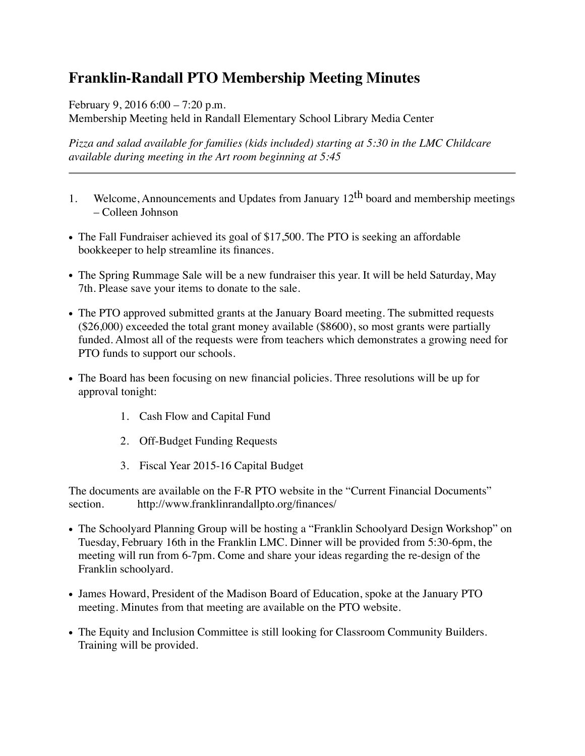## **Franklin-Randall PTO Membership Meeting Minutes**

February 9, 2016 6:00 – 7:20 p.m.

Membership Meeting held in Randall Elementary School Library Media Center

*Pizza and salad available for families (kids included) starting at 5:30 in the LMC Childcare available during meeting in the Art room beginning at 5:45* 

- 1. Welcome, Announcements and Updates from January  $12<sup>th</sup>$  board and membership meetings – Colleen Johnson
- The Fall Fundraiser achieved its goal of \$17,500. The PTO is seeking an affordable bookkeeper to help streamline its finances.
- The Spring Rummage Sale will be a new fundraiser this year. It will be held Saturday, May 7th. Please save your items to donate to the sale.
- The PTO approved submitted grants at the January Board meeting. The submitted requests (\$26,000) exceeded the total grant money available (\$8600), so most grants were partially funded. Almost all of the requests were from teachers which demonstrates a growing need for PTO funds to support our schools.
- The Board has been focusing on new financial policies. Three resolutions will be up for approval tonight:
	- 1. Cash Flow and Capital Fund
	- 2. Off-Budget Funding Requests
	- 3. Fiscal Year 2015-16 Capital Budget

The documents are available on the F-R PTO website in the "Current Financial Documents" section. http://www.franklinrandallpto.org/finances/

- The Schoolyard Planning Group will be hosting a "Franklin Schoolyard Design Workshop" on Tuesday, February 16th in the Franklin LMC. Dinner will be provided from 5:30-6pm, the meeting will run from 6-7pm. Come and share your ideas regarding the re-design of the Franklin schoolyard.
- James Howard, President of the Madison Board of Education, spoke at the January PTO meeting. Minutes from that meeting are available on the PTO website.
- The Equity and Inclusion Committee is still looking for Classroom Community Builders. Training will be provided.